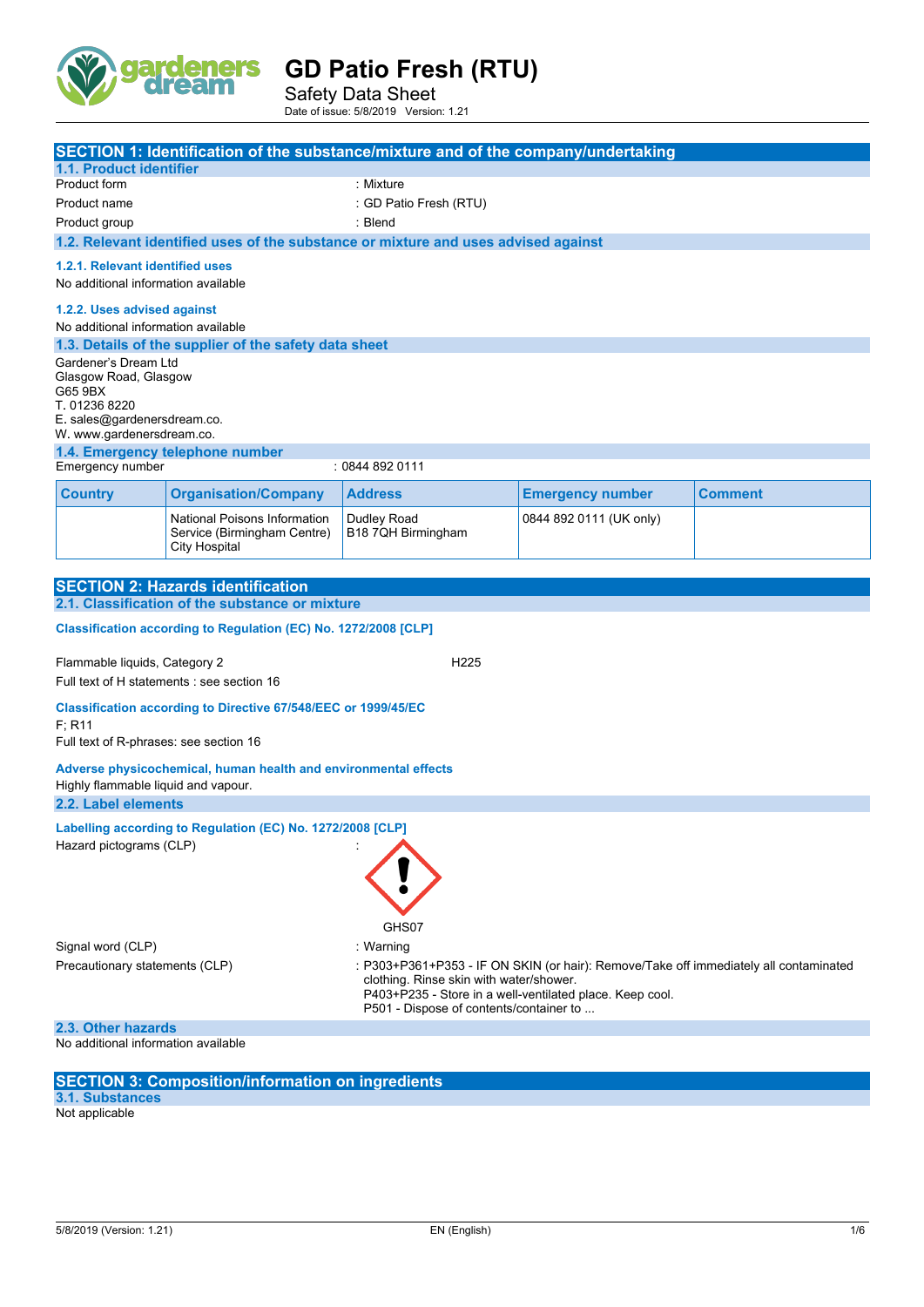

Safety Data Sheet Date of issue: 5/8/2019 Version: 1.21

|                                                                                                                                                                                                                                                                           |                                                                                     | SECTION 1: Identification of the substance/mixture and of the company/undertaking  |                         |                |
|---------------------------------------------------------------------------------------------------------------------------------------------------------------------------------------------------------------------------------------------------------------------------|-------------------------------------------------------------------------------------|------------------------------------------------------------------------------------|-------------------------|----------------|
| 1.1. Product identifier                                                                                                                                                                                                                                                   |                                                                                     |                                                                                    |                         |                |
| Product form                                                                                                                                                                                                                                                              |                                                                                     | : Mixture                                                                          |                         |                |
| Product name                                                                                                                                                                                                                                                              |                                                                                     | : GD Patio Fresh (RTU)                                                             |                         |                |
| Product group                                                                                                                                                                                                                                                             |                                                                                     | : Blend                                                                            |                         |                |
|                                                                                                                                                                                                                                                                           |                                                                                     | 1.2. Relevant identified uses of the substance or mixture and uses advised against |                         |                |
|                                                                                                                                                                                                                                                                           |                                                                                     |                                                                                    |                         |                |
| 1.2.1. Relevant identified uses<br>No additional information available                                                                                                                                                                                                    |                                                                                     |                                                                                    |                         |                |
| 1.2.2. Uses advised against<br>No additional information available                                                                                                                                                                                                        |                                                                                     |                                                                                    |                         |                |
|                                                                                                                                                                                                                                                                           | 1.3. Details of the supplier of the safety data sheet                               |                                                                                    |                         |                |
| Gardener's Dream Ltd<br>Glasgow Road, Glasgow<br>G65 9BX<br>T. 01236 8220                                                                                                                                                                                                 |                                                                                     |                                                                                    |                         |                |
| E. sales@gardenersdream.co.                                                                                                                                                                                                                                               |                                                                                     |                                                                                    |                         |                |
| W. www.gardenersdream.co.                                                                                                                                                                                                                                                 |                                                                                     |                                                                                    |                         |                |
| Emergency number                                                                                                                                                                                                                                                          | 1.4. Emergency telephone number                                                     | : 0844 892 0111                                                                    |                         |                |
|                                                                                                                                                                                                                                                                           |                                                                                     |                                                                                    |                         |                |
| <b>Country</b>                                                                                                                                                                                                                                                            | <b>Organisation/Company</b>                                                         | <b>Address</b>                                                                     | <b>Emergency number</b> | <b>Comment</b> |
|                                                                                                                                                                                                                                                                           | National Poisons Information<br>Service (Birmingham Centre)<br><b>City Hospital</b> | Dudley Road<br>B18 7QH Birmingham                                                  | 0844 892 0111 (UK only) |                |
|                                                                                                                                                                                                                                                                           |                                                                                     |                                                                                    |                         |                |
|                                                                                                                                                                                                                                                                           | <b>SECTION 2: Hazards identification</b>                                            |                                                                                    |                         |                |
|                                                                                                                                                                                                                                                                           | 2.1. Classification of the substance or mixture                                     |                                                                                    |                         |                |
|                                                                                                                                                                                                                                                                           | Classification according to Regulation (EC) No. 1272/2008 [CLP]                     |                                                                                    |                         |                |
| Flammable liquids, Category 2<br>H <sub>225</sub><br>Full text of H statements : see section 16                                                                                                                                                                           |                                                                                     |                                                                                    |                         |                |
| Classification according to Directive 67/548/EEC or 1999/45/EC<br>F: R11<br>Full text of R-phrases: see section 16                                                                                                                                                        |                                                                                     |                                                                                    |                         |                |
| Adverse physicochemical, human health and environmental effects<br>Highly flammable liquid and vapour.                                                                                                                                                                    |                                                                                     |                                                                                    |                         |                |
| 2.2. Label elements                                                                                                                                                                                                                                                       |                                                                                     |                                                                                    |                         |                |
| Labelling according to Regulation (EC) No. 1272/2008 [CLP]<br>Hazard pictograms (CLP)                                                                                                                                                                                     |                                                                                     |                                                                                    |                         |                |
|                                                                                                                                                                                                                                                                           |                                                                                     |                                                                                    |                         |                |
| GHS07                                                                                                                                                                                                                                                                     |                                                                                     |                                                                                    |                         |                |
| Signal word (CLP)<br>: Warning                                                                                                                                                                                                                                            |                                                                                     |                                                                                    |                         |                |
| Precautionary statements (CLP)<br>: P303+P361+P353 - IF ON SKIN (or hair): Remove/Take off immediately all contaminated<br>clothing. Rinse skin with water/shower.<br>P403+P235 - Store in a well-ventilated place. Keep cool.<br>P501 - Dispose of contents/container to |                                                                                     |                                                                                    |                         |                |
| 2.3. Other hazards                                                                                                                                                                                                                                                        |                                                                                     |                                                                                    |                         |                |
| No additional information available                                                                                                                                                                                                                                       |                                                                                     |                                                                                    |                         |                |
|                                                                                                                                                                                                                                                                           | <b>CECTION 3: Composition/information on ingradiants</b>                            |                                                                                    |                         |                |

## **SECTION 3: Composition/information on ingredients**

**3.1. Substances** Not applicable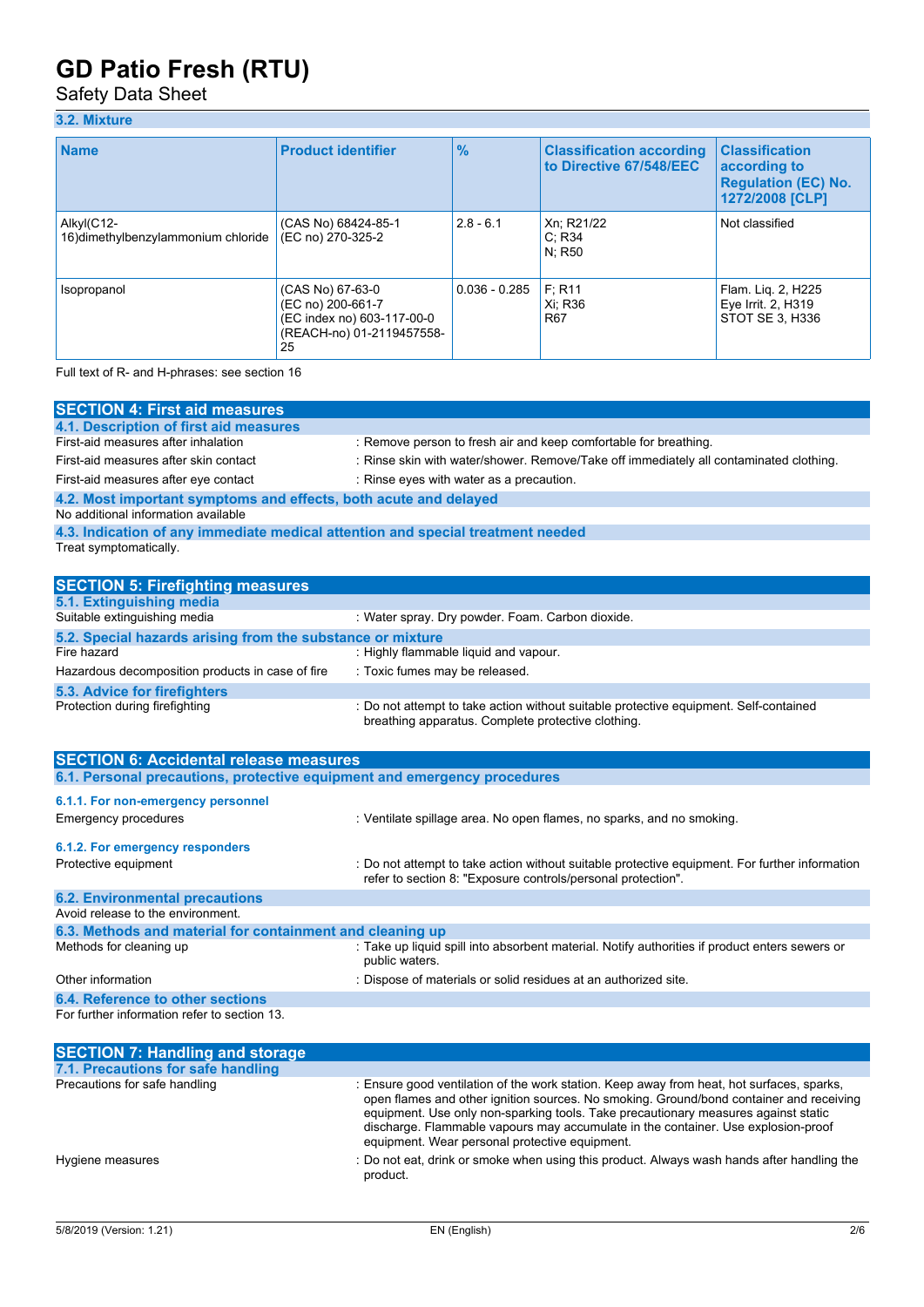## Safety Data Sheet

## **3.2. Mixture**

| <b>Name</b>                                       | <b>Product identifier</b>                                                                              | $\frac{9}{6}$   | <b>Classification according</b><br>to Directive 67/548/EEC | <b>Classification</b><br>according to<br><b>Regulation (EC) No.</b><br>1272/2008 [CLP] |
|---------------------------------------------------|--------------------------------------------------------------------------------------------------------|-----------------|------------------------------------------------------------|----------------------------------------------------------------------------------------|
| Alkyl(C12-<br>16) dimethylbenzylammonium chloride | (CAS No) 68424-85-1<br>(EC no) 270-325-2                                                               | $2.8 - 6.1$     | Xn; R21/22<br>C: R34<br>N: R50                             | Not classified                                                                         |
| Isopropanol                                       | (CAS No) 67-63-0<br>(EC no) 200-661-7<br>(EC index no) 603-117-00-0<br>(REACH-no) 01-2119457558-<br>25 | $0.036 - 0.285$ | F: R11<br>Xi: R36<br>R <sub>67</sub>                       | Flam. Lig. 2, H225<br>Eye Irrit. 2, H319<br>STOT SE 3. H336                            |

Full text of R- and H-phrases: see section 16

| <b>SECTION 4: First aid measures</b>                                            |                                                                                        |  |  |
|---------------------------------------------------------------------------------|----------------------------------------------------------------------------------------|--|--|
| 4.1. Description of first aid measures                                          |                                                                                        |  |  |
| First-aid measures after inhalation                                             | : Remove person to fresh air and keep comfortable for breathing.                       |  |  |
| First-aid measures after skin contact                                           | : Rinse skin with water/shower. Remove/Take off immediately all contaminated clothing. |  |  |
| First-aid measures after eye contact                                            | : Rinse eyes with water as a precaution.                                               |  |  |
| 4.2. Most important symptoms and effects, both acute and delayed                |                                                                                        |  |  |
| No additional information available                                             |                                                                                        |  |  |
| 4.3. Indication of any immediate medical attention and special treatment needed |                                                                                        |  |  |
| Treat symptomatically.                                                          |                                                                                        |  |  |
|                                                                                 |                                                                                        |  |  |
| <b>SECTION 5: Firefighting measures</b>                                         |                                                                                        |  |  |
| 5.1. Extinguishing media                                                        |                                                                                        |  |  |
| Suitable extinguishing media                                                    | : Water spray, Dry nowder, Foam, Carbon dioxide                                        |  |  |

| Suitable extinguishing media                               | : Water spray. Dry powder. Foam. Carbon dioxide.                                                                                            |
|------------------------------------------------------------|---------------------------------------------------------------------------------------------------------------------------------------------|
| 5.2. Special hazards arising from the substance or mixture |                                                                                                                                             |
| Fire hazard                                                | : Highly flammable liquid and vapour.                                                                                                       |
| Hazardous decomposition products in case of fire           | : Toxic fumes may be released.                                                                                                              |
| 5.3. Advice for firefighters                               |                                                                                                                                             |
| Protection during firefighting                             | : Do not attempt to take action without suitable protective equipment. Self-contained<br>breathing apparatus. Complete protective clothing. |

| <b>SECTION 6: Accidental release measures</b>                            |                                                                                                                                                                |  |
|--------------------------------------------------------------------------|----------------------------------------------------------------------------------------------------------------------------------------------------------------|--|
| 6.1. Personal precautions, protective equipment and emergency procedures |                                                                                                                                                                |  |
| 6.1.1. For non-emergency personnel                                       |                                                                                                                                                                |  |
| Emergency procedures                                                     | : Ventilate spillage area. No open flames, no sparks, and no smoking.                                                                                          |  |
| 6.1.2. For emergency responders                                          |                                                                                                                                                                |  |
| Protective equipment                                                     | : Do not attempt to take action without suitable protective equipment. For further information<br>refer to section 8: "Exposure controls/personal protection". |  |
| <b>6.2. Environmental precautions</b>                                    |                                                                                                                                                                |  |
| Avoid release to the environment.                                        |                                                                                                                                                                |  |
| 6.3. Methods and material for containment and cleaning up                |                                                                                                                                                                |  |
| Methods for cleaning up                                                  | : Take up liquid spill into absorbent material. Notify authorities if product enters sewers or<br>public waters.                                               |  |
| Other information                                                        | : Dispose of materials or solid residues at an authorized site.                                                                                                |  |
| 6.4. Reference to other sections                                         |                                                                                                                                                                |  |
| For further information refer to section 13.                             |                                                                                                                                                                |  |

| <b>SECTION 7: Handling and storage</b> |                                                                                                                                                                                                                                                                                                                                                                                                                   |
|----------------------------------------|-------------------------------------------------------------------------------------------------------------------------------------------------------------------------------------------------------------------------------------------------------------------------------------------------------------------------------------------------------------------------------------------------------------------|
| 7.1. Precautions for safe handling     |                                                                                                                                                                                                                                                                                                                                                                                                                   |
| Precautions for safe handling          | : Ensure good ventilation of the work station. Keep away from heat, hot surfaces, sparks,<br>open flames and other ignition sources. No smoking. Ground/bond container and receiving<br>equipment. Use only non-sparking tools. Take precautionary measures against static<br>discharge. Flammable vapours may accumulate in the container. Use explosion-proof<br>equipment. Wear personal protective equipment. |
| Hygiene measures                       | : Do not eat, drink or smoke when using this product. Always wash hands after handling the<br>product.                                                                                                                                                                                                                                                                                                            |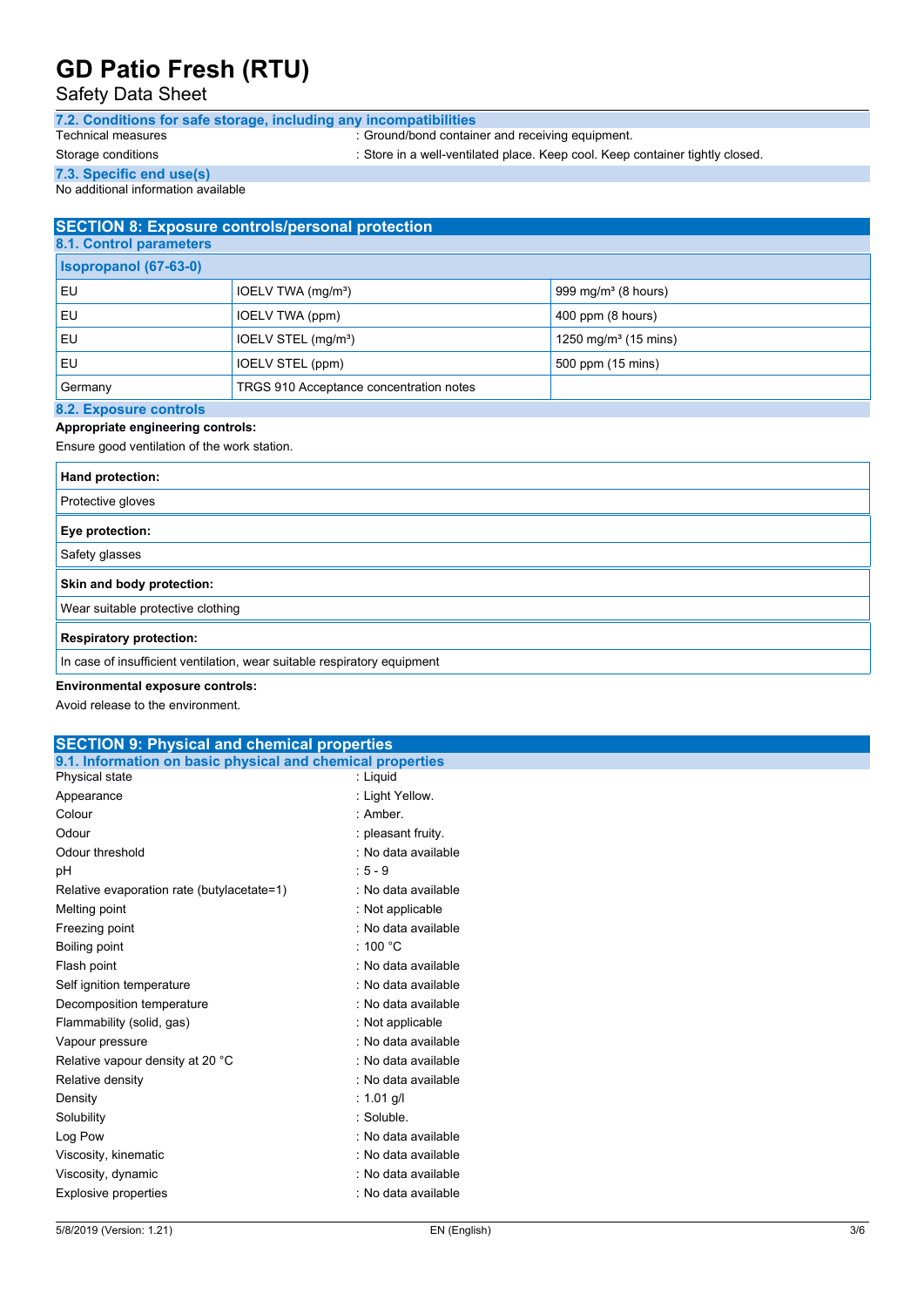### Safety Data Sheet

| 7.2. Conditions for safe storage, including any incompatibilities |                                                  |
|-------------------------------------------------------------------|--------------------------------------------------|
| Technical measures                                                | : Ground/bond container and receiving equipment. |

Storage conditions : Store in a well-ventilated place. Keep cool. Keep container tightly closed.

**7.3. Specific end use(s)** No additional information available

### **SECTION 8: Exposure controls/personal protection**

| 8.1. Control parameters      |                                         |                                  |
|------------------------------|-----------------------------------------|----------------------------------|
| <b>Isopropanol (67-63-0)</b> |                                         |                                  |
| i EU                         | IOELV TWA (mg/m <sup>3</sup> )          | 999 mg/m $3$ (8 hours)           |
| <b>EU</b>                    | IOELV TWA (ppm)                         | $400$ ppm (8 hours)              |
| l EU                         | IOELV STEL (mg/m <sup>3</sup> )         | 1250 mg/m <sup>3</sup> (15 mins) |
| <b>EU</b>                    | IOELV STEL (ppm)                        | 500 ppm (15 mins)                |
| Germany                      | TRGS 910 Acceptance concentration notes |                                  |
|                              |                                         |                                  |

#### **8.2. Exposure controls Appropriate engineering controls:**

Ensure good ventilation of the work station.

| Hand protection:                                                         |  |  |
|--------------------------------------------------------------------------|--|--|
| Protective gloves                                                        |  |  |
| Eye protection:                                                          |  |  |
| Safety glasses                                                           |  |  |
| Skin and body protection:                                                |  |  |
| Wear suitable protective clothing                                        |  |  |
| <b>Respiratory protection:</b>                                           |  |  |
| In case of insufficient ventilation, wear suitable respiratory equipment |  |  |

### **Environmental exposure controls:**

Avoid release to the environment.

### 5/8/2019 (Version: 1.21) EN (English) 3/6 **SECTION 9: Physical and chemical properties 9.1. Information on basic physical and chemical properties** Physical state : Liquid Appearance : Light Yellow. Colour : Amber. Odour : pleasant fruity. Odour threshold **Download COLLEGE 1.1 SOLLEGE 1.1 SOLLEGE 1.1 SOLLEGE 1.1 SOLLEGE 1.1 SOLLEGE 1.1 SOLLEGE 1.1 SOLLEGE 1.1 SOLLEGE 1.1 SOLLEGE 1.1 SOLLEGE 1.1 SOLLEGE 1.1 SOLLEGE 1.1 SOLLEGE 1.1 SOLLEGE 1.1 SOLLEGE 1.1 SO** pH : 5 - 9 Relative evaporation rate (butylacetate=1) : No data available Melting point **in the contract of the contract of the contract of the contract of the contract of the contract of the contract of the contract of the contract of the contract of the contract of the contract of the contract** Freezing point **in the case of the case of the case of the case of the case of the case of the case of the case of the case of the case of the case of the case of the case of the case of the case of the case of the case of** Boiling point : 100 °C Flash point **in the case of the case of the case of the case of the case of the case of the case of the case of the case of the case of the case of the case of the case of the case of the case of the case of the case of th** Self ignition temperature **in the self is a set of the self in the self is a set of the self in the self is a set of the self in the self is a set of the self in the self in the self in the self in the self in the self in** Decomposition temperature : No data available Flammability (solid, gas) : Not applicable Vapour pressure in the same state of the state of the San San Ann and San San San Ann and San San San San San S Relative vapour density at 20 °C : No data available Relative density **in the case of the COV** Relative density **:** No data available Density : 1.01 g/l Solubility : Soluble. Log Pow **:** No data available Viscosity, kinematic intervalsed by the state of the SNs of the Viscosity, kinematic intervalsed by the Viscosity of the Viscosity of the Viscosity of the Viscosity of the Viscosity of the Viscosity of the Viscosity of the Viscosity, dynamic **intervalse in the Contract of Contract Available** : No data available Explosive properties in the state of the state of the state of the state of the state available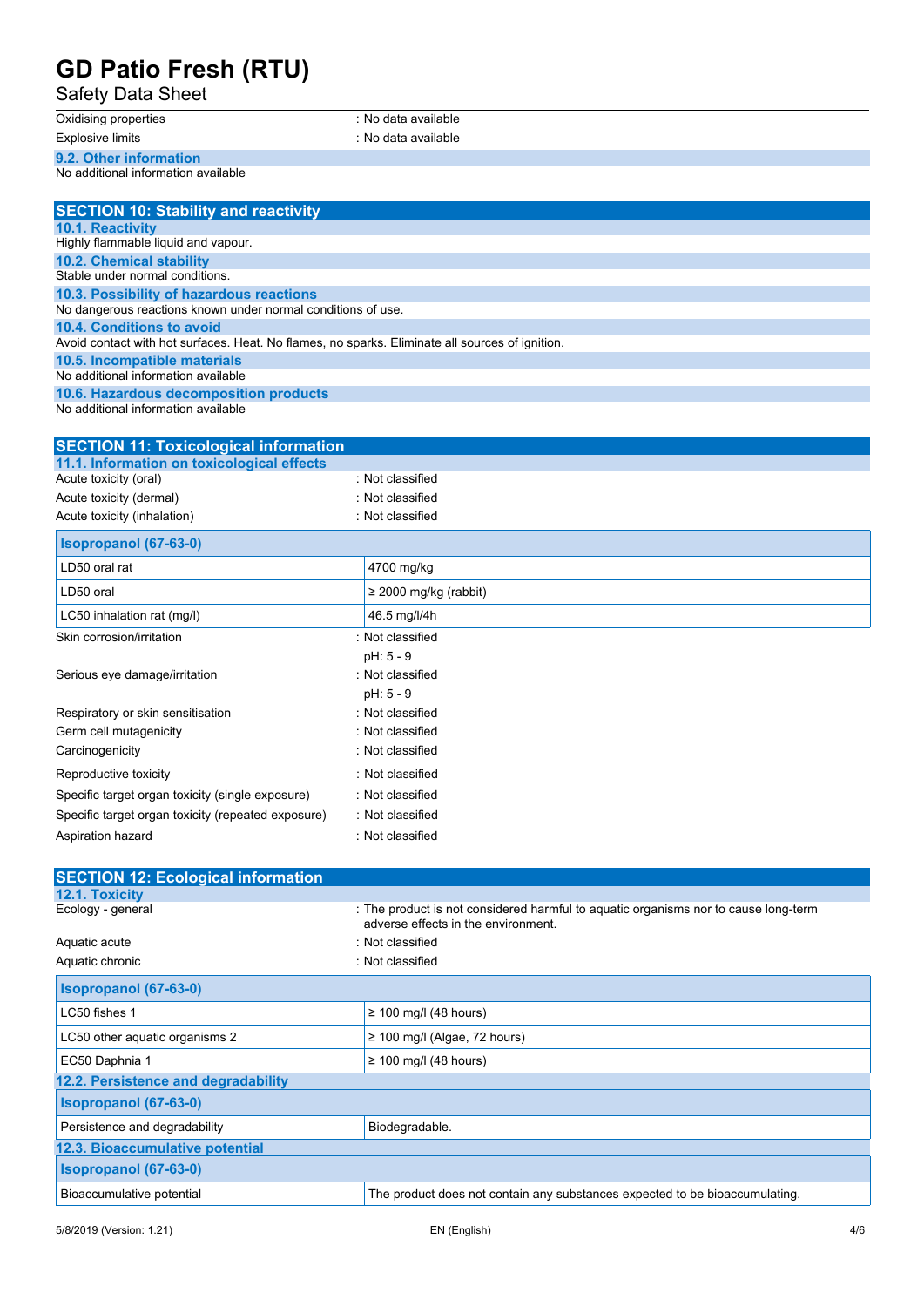Safety Data Sheet

Oxidising properties : No data available Explosive limits **Explosive Limits Explosive Limits Explosive Limits Explosive Limits EXPLOSIVE 2018** 

**9.2. Other information**

No additional information available

| <b>SECTION 10: Stability and reactivity</b>                                                     |
|-------------------------------------------------------------------------------------------------|
| <b>10.1. Reactivity</b>                                                                         |
| Highly flammable liquid and vapour.                                                             |
| <b>10.2. Chemical stability</b>                                                                 |
| Stable under normal conditions.                                                                 |
| 10.3. Possibility of hazardous reactions                                                        |
| No dangerous reactions known under normal conditions of use.                                    |
| 10.4. Conditions to avoid                                                                       |
| Avoid contact with hot surfaces. Heat. No flames, no sparks. Eliminate all sources of ignition. |
| 10.5. Incompatible materials                                                                    |
| No additional information available                                                             |
| 10.6. Hazardous decomposition products                                                          |
| h le ce e delition de lin forma e tiene concelle le lec                                         |

No additional information available

| <b>SECTION 11: Toxicological information</b>       |                            |
|----------------------------------------------------|----------------------------|
| 11.1. Information on toxicological effects         |                            |
| Acute toxicity (oral)                              | : Not classified           |
| Acute toxicity (dermal)                            | : Not classified           |
| Acute toxicity (inhalation)                        | : Not classified           |
| <b>Isopropanol (67-63-0)</b>                       |                            |
| LD50 oral rat                                      | 4700 mg/kg                 |
| LD50 oral                                          | $\geq$ 2000 mg/kg (rabbit) |
| LC50 inhalation rat (mg/l)                         | 46.5 mg/l/4h               |
| Skin corrosion/irritation                          | : Not classified           |
|                                                    | pH: 5 - 9                  |
| Serious eye damage/irritation                      | : Not classified           |
|                                                    | pH: 5 - 9                  |
| Respiratory or skin sensitisation                  | : Not classified           |
| Germ cell mutagenicity                             | : Not classified           |
| Carcinogenicity                                    | : Not classified           |
| Reproductive toxicity                              | : Not classified           |
| Specific target organ toxicity (single exposure)   | : Not classified           |
| Specific target organ toxicity (repeated exposure) | : Not classified           |
| Aspiration hazard                                  | : Not classified           |

| <b>SECTION 12: Ecological information</b> |                                                                                                                            |
|-------------------------------------------|----------------------------------------------------------------------------------------------------------------------------|
| <b>12.1. Toxicity</b>                     |                                                                                                                            |
| Ecology - general                         | : The product is not considered harmful to aquatic organisms nor to cause long-term<br>adverse effects in the environment. |
| Aquatic acute                             | : Not classified                                                                                                           |
| Aquatic chronic                           | : Not classified                                                                                                           |
| Isopropanol (67-63-0)                     |                                                                                                                            |
| LC50 fishes 1                             | $\geq$ 100 mg/l (48 hours)                                                                                                 |
| LC50 other aquatic organisms 2            | $\geq$ 100 mg/l (Algae, 72 hours)                                                                                          |
| EC50 Daphnia 1                            | $\geq$ 100 mg/l (48 hours)                                                                                                 |
| 12.2. Persistence and degradability       |                                                                                                                            |
| <b>Isopropanol</b> (67-63-0)              |                                                                                                                            |
| Persistence and degradability             | Biodegradable.                                                                                                             |
| 12.3. Bioaccumulative potential           |                                                                                                                            |
| <b>Isopropanol</b> (67-63-0)              |                                                                                                                            |
| Bioaccumulative potential                 | The product does not contain any substances expected to be bioaccumulating.                                                |
|                                           |                                                                                                                            |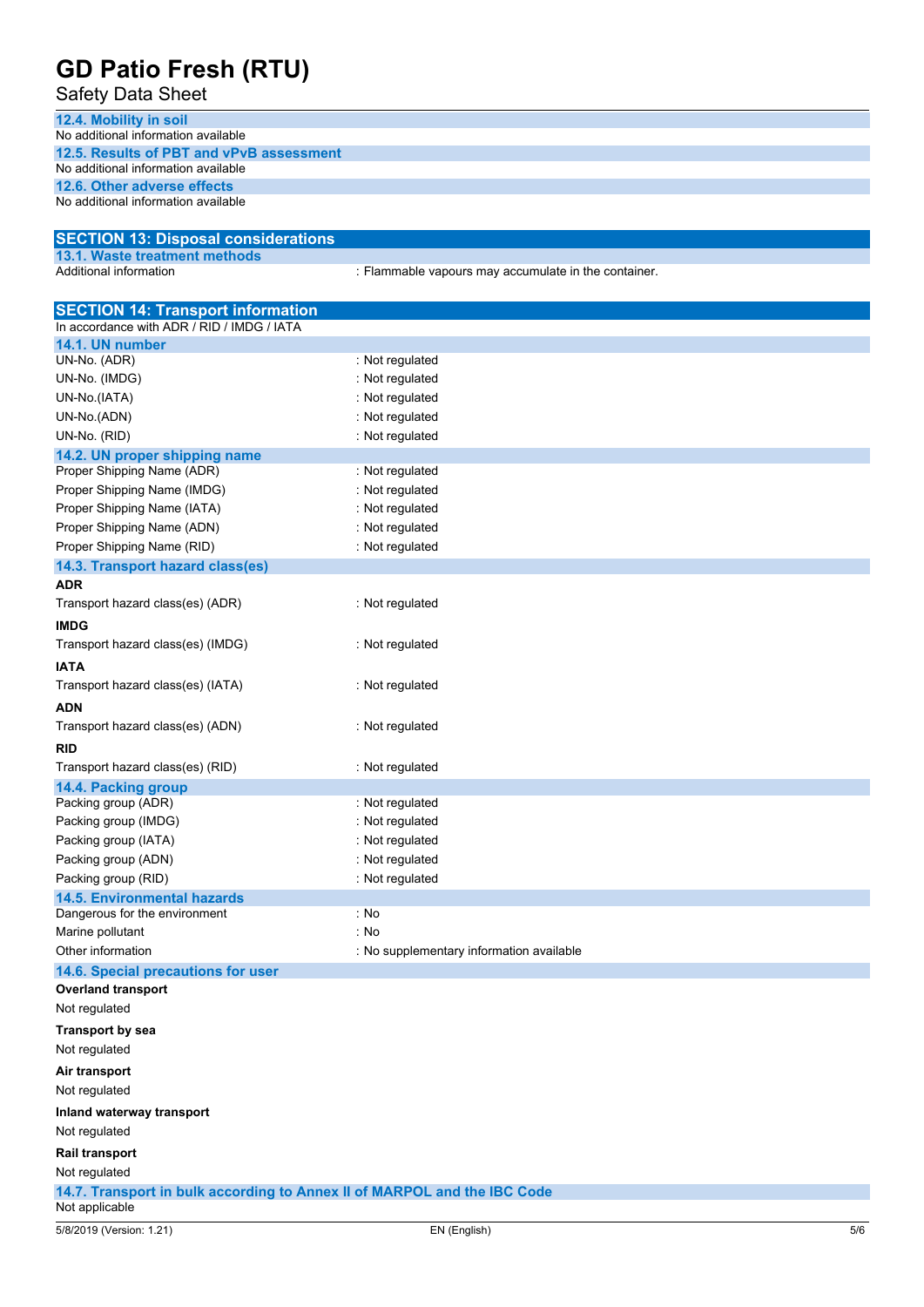Safety Data Sheet

**12.4. Mobility in soil**

| No additional information available                                                        |                                                      |  |
|--------------------------------------------------------------------------------------------|------------------------------------------------------|--|
| 12.5. Results of PBT and vPvB assessment<br>No additional information available            |                                                      |  |
| 12.6. Other adverse effects                                                                |                                                      |  |
| No additional information available                                                        |                                                      |  |
|                                                                                            |                                                      |  |
| <b>SECTION 13: Disposal considerations</b>                                                 |                                                      |  |
| 13.1. Waste treatment methods<br>Additional information                                    |                                                      |  |
|                                                                                            | : Flammable vapours may accumulate in the container. |  |
| <b>SECTION 14: Transport information</b>                                                   |                                                      |  |
| In accordance with ADR / RID / IMDG / IATA                                                 |                                                      |  |
| 14.1. UN number<br>UN-No. (ADR)                                                            | : Not regulated                                      |  |
| UN-No. (IMDG)                                                                              | : Not regulated                                      |  |
| UN-No.(IATA)                                                                               | : Not regulated                                      |  |
| UN-No.(ADN)                                                                                | : Not regulated                                      |  |
| UN-No. (RID)                                                                               | : Not regulated                                      |  |
| 14.2. UN proper shipping name                                                              |                                                      |  |
| Proper Shipping Name (ADR)                                                                 | : Not regulated                                      |  |
| Proper Shipping Name (IMDG)                                                                | : Not regulated                                      |  |
| Proper Shipping Name (IATA)                                                                | : Not regulated                                      |  |
| Proper Shipping Name (ADN)                                                                 | : Not regulated                                      |  |
| Proper Shipping Name (RID)                                                                 | : Not regulated                                      |  |
| 14.3. Transport hazard class(es)                                                           |                                                      |  |
| <b>ADR</b>                                                                                 |                                                      |  |
| Transport hazard class(es) (ADR)                                                           | : Not regulated                                      |  |
| <b>IMDG</b>                                                                                |                                                      |  |
| Transport hazard class(es) (IMDG)                                                          | : Not regulated                                      |  |
| <b>IATA</b>                                                                                |                                                      |  |
| Transport hazard class(es) (IATA)                                                          | : Not regulated                                      |  |
| <b>ADN</b>                                                                                 |                                                      |  |
| Transport hazard class(es) (ADN)                                                           | : Not regulated                                      |  |
| <b>RID</b>                                                                                 |                                                      |  |
| Transport hazard class(es) (RID)                                                           | : Not regulated                                      |  |
| 14.4. Packing group                                                                        |                                                      |  |
| Packing group (ADR)                                                                        | : Not regulated                                      |  |
| Packing group (IMDG)                                                                       | : Not regulated                                      |  |
| Packing group (IATA)                                                                       | : Not regulated                                      |  |
| Packing group (ADN)                                                                        | : Not regulated                                      |  |
| Packing group (RID)                                                                        | : Not regulated                                      |  |
| <b>14.5. Environmental hazards</b>                                                         |                                                      |  |
| Dangerous for the environment                                                              | : No                                                 |  |
| Marine pollutant                                                                           | : No                                                 |  |
| Other information<br>14.6. Special precautions for user                                    | : No supplementary information available             |  |
| <b>Overland transport</b>                                                                  |                                                      |  |
| Not regulated                                                                              |                                                      |  |
| <b>Transport by sea</b>                                                                    |                                                      |  |
| Not regulated                                                                              |                                                      |  |
|                                                                                            |                                                      |  |
| Air transport                                                                              |                                                      |  |
| Not regulated                                                                              |                                                      |  |
| Inland waterway transport                                                                  |                                                      |  |
| Not regulated                                                                              |                                                      |  |
| <b>Rail transport</b>                                                                      |                                                      |  |
| Not regulated                                                                              |                                                      |  |
| 14.7. Transport in bulk according to Annex II of MARPOL and the IBC Code<br>Not applicable |                                                      |  |
| 5/8/2019 (Version: 1.21)                                                                   | EN (English)<br>5/6                                  |  |
|                                                                                            |                                                      |  |